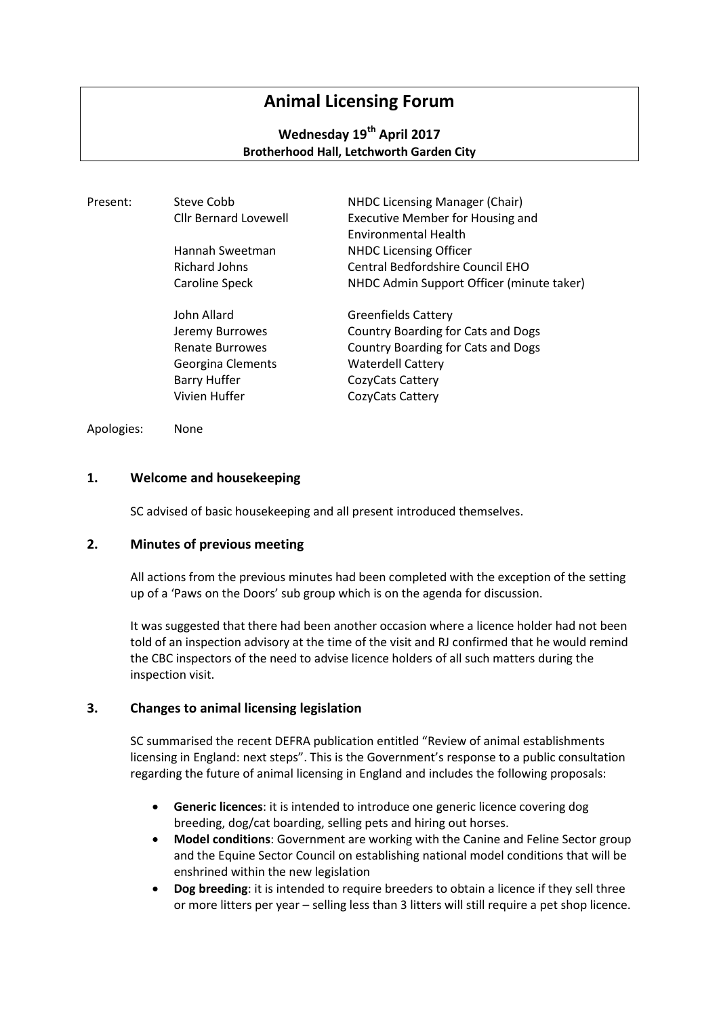# **Animal Licensing Forum**

# **Wednesday 19th April 2017 Brotherhood Hall, Letchworth Garden City**

| Present: | Steve Cobb                   | NHDC Licensing Manager (Chair)            |
|----------|------------------------------|-------------------------------------------|
|          | <b>Cllr Bernard Lovewell</b> | <b>Executive Member for Housing and</b>   |
|          |                              | <b>Environmental Health</b>               |
|          | Hannah Sweetman              | <b>NHDC Licensing Officer</b>             |
|          | Richard Johns                | Central Bedfordshire Council EHO          |
|          | Caroline Speck               | NHDC Admin Support Officer (minute taker) |
|          | John Allard                  | <b>Greenfields Cattery</b>                |
|          | Jeremy Burrowes              | Country Boarding for Cats and Dogs        |
|          | <b>Renate Burrowes</b>       | Country Boarding for Cats and Dogs        |
|          | Georgina Clements            | <b>Waterdell Cattery</b>                  |
|          | <b>Barry Huffer</b>          | CozyCats Cattery                          |
|          | Vivien Huffer                | CozyCats Cattery                          |

Apologies: None

## **1. Welcome and housekeeping**

SC advised of basic housekeeping and all present introduced themselves.

#### **2. Minutes of previous meeting**

All actions from the previous minutes had been completed with the exception of the setting up of a 'Paws on the Doors' sub group which is on the agenda for discussion.

It was suggested that there had been another occasion where a licence holder had not been told of an inspection advisory at the time of the visit and RJ confirmed that he would remind the CBC inspectors of the need to advise licence holders of all such matters during the inspection visit.

#### **3. Changes to animal licensing legislation**

SC summarised the recent DEFRA publication entitled "Review of animal establishments licensing in England: next steps". This is the Government's response to a public consultation regarding the future of animal licensing in England and includes the following proposals:

- **Generic licences**: it is intended to introduce one generic licence covering dog breeding, dog/cat boarding, selling pets and hiring out horses.
- **Model conditions**: Government are working with the Canine and Feline Sector group and the Equine Sector Council on establishing national model conditions that will be enshrined within the new legislation
- **Dog breeding**: it is intended to require breeders to obtain a licence if they sell three or more litters per year – selling less than 3 litters will still require a pet shop licence.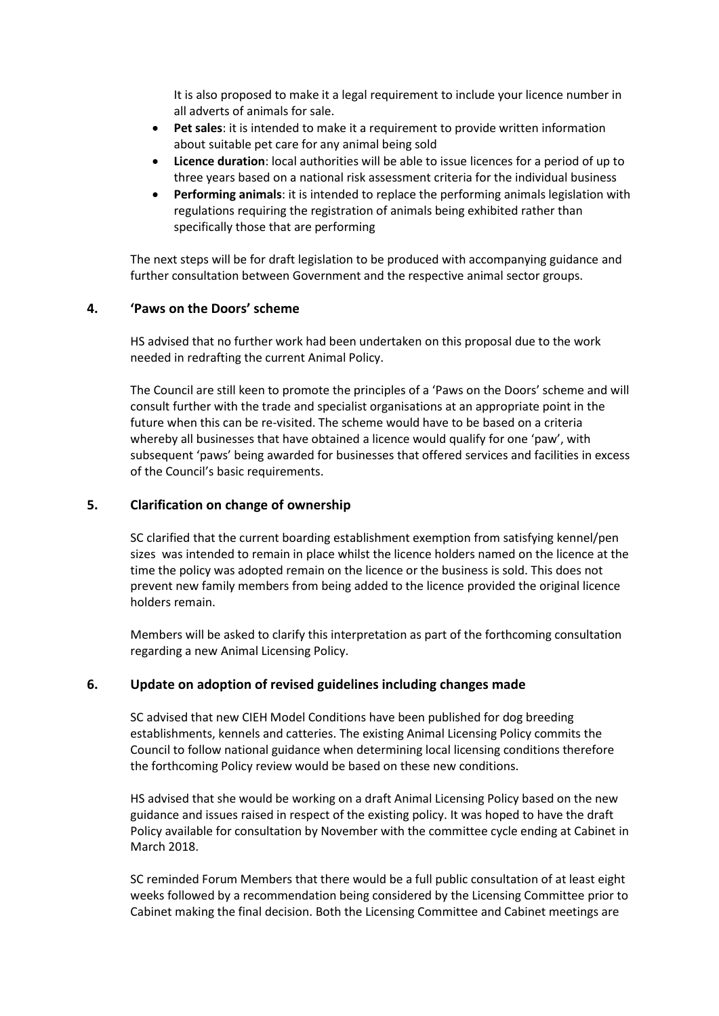It is also proposed to make it a legal requirement to include your licence number in all adverts of animals for sale.

- **Pet sales**: it is intended to make it a requirement to provide written information about suitable pet care for any animal being sold
- **Licence duration**: local authorities will be able to issue licences for a period of up to three years based on a national risk assessment criteria for the individual business
- **Performing animals**: it is intended to replace the performing animals legislation with regulations requiring the registration of animals being exhibited rather than specifically those that are performing

The next steps will be for draft legislation to be produced with accompanying guidance and further consultation between Government and the respective animal sector groups.

#### **4. 'Paws on the Doors' scheme**

HS advised that no further work had been undertaken on this proposal due to the work needed in redrafting the current Animal Policy.

The Council are still keen to promote the principles of a 'Paws on the Doors' scheme and will consult further with the trade and specialist organisations at an appropriate point in the future when this can be re-visited. The scheme would have to be based on a criteria whereby all businesses that have obtained a licence would qualify for one 'paw', with subsequent 'paws' being awarded for businesses that offered services and facilities in excess of the Council's basic requirements.

## **5. Clarification on change of ownership**

SC clarified that the current boarding establishment exemption from satisfying kennel/pen sizes was intended to remain in place whilst the licence holders named on the licence at the time the policy was adopted remain on the licence or the business is sold. This does not prevent new family members from being added to the licence provided the original licence holders remain.

Members will be asked to clarify this interpretation as part of the forthcoming consultation regarding a new Animal Licensing Policy.

#### **6. Update on adoption of revised guidelines including changes made**

SC advised that new CIEH Model Conditions have been published for dog breeding establishments, kennels and catteries. The existing Animal Licensing Policy commits the Council to follow national guidance when determining local licensing conditions therefore the forthcoming Policy review would be based on these new conditions.

HS advised that she would be working on a draft Animal Licensing Policy based on the new guidance and issues raised in respect of the existing policy. It was hoped to have the draft Policy available for consultation by November with the committee cycle ending at Cabinet in March 2018.

SC reminded Forum Members that there would be a full public consultation of at least eight weeks followed by a recommendation being considered by the Licensing Committee prior to Cabinet making the final decision. Both the Licensing Committee and Cabinet meetings are